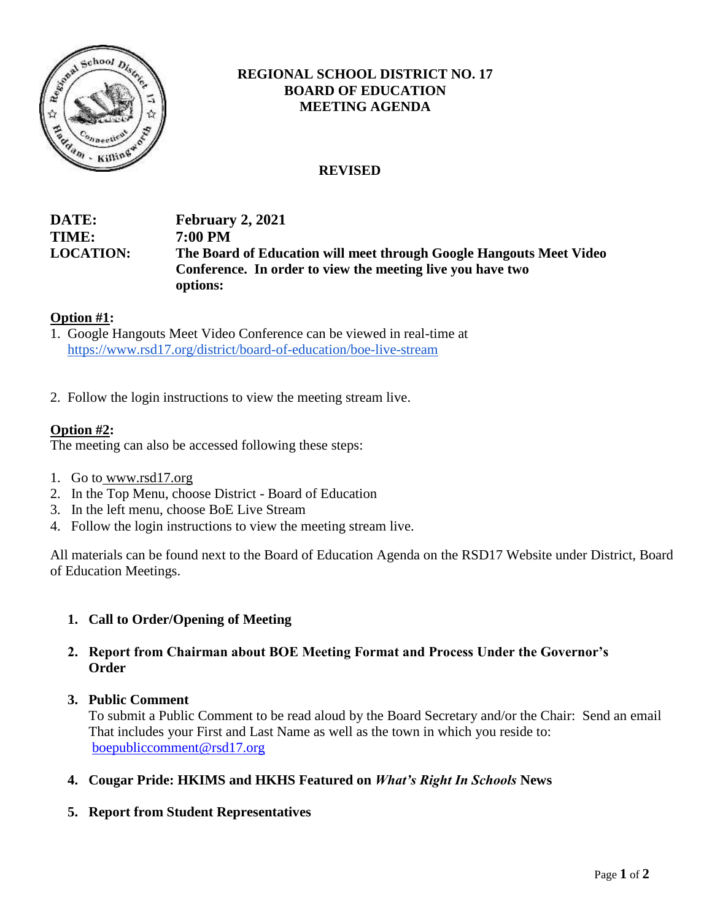

## **REGIONAL SCHOOL DISTRICT NO. 17 BOARD OF EDUCATION MEETING AGENDA**

# **REVISED**

## **DATE: February 2, 2021 TIME: 7:00 PM LOCATION: The Board of Education will meet through Google Hangouts Meet Video Conference. In order to view the meeting live you have two options:**

## **Option #1:**

- 1. Google Hangouts Meet Video Conference can be viewed in real-time at https://www.rsd17.org/district/board-of-education/boe-live-stream
- 2. Follow the login instructions to view the meeting stream live.

### **Option #2:**

The meeting can also be accessed following these steps:

- 1. Go to [www.rsd17.org](http://www.rsd17.org/)
- 2. In the Top Menu, choose District Board of Education
- 3. In the left menu, choose BoE Live Stream
- 4. Follow the login instructions to view the meeting stream live.

All materials can be found next to the Board of Education Agenda on the RSD17 Website under District, Board of Education Meetings.

### **1. Call to Order/Opening of Meeting**

 **2. Report from Chairman about BOE Meeting Format and Process Under the Governor's Order** 

### **3. Public Comment**

 To submit a Public Comment to be read aloud by the Board Secretary and/or the Chair: Send an email That includes your First and Last Name as well as the town in which you reside to: [boepubliccomment@rsd17.org](mailto:boepubliccomment@rsd17.org)

- **4. Cougar Pride: HKIMS and HKHS Featured on** *What's Right In Schools* **News**
- **5. Report from Student Representatives**